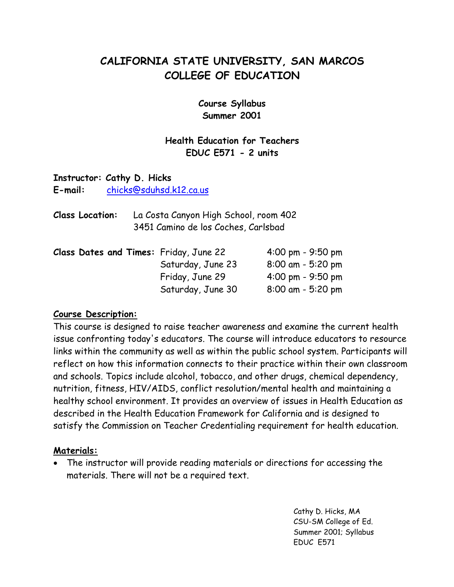# **CALIFORNIA STATE UNIVERSITY, SAN MARCOS COLLEGE OF EDUCATION**

**Course Syllabus Summer 2001**

## **Health Education for Teachers EDUC E571 - 2 units**

### **Instructor: Cathy D. Hicks**

**E-mail:** [chicks@sduhsd.k12.ca.us](mailto:chicks@sduhsd.k12.ca.us)

**Class Location:** La Costa Canyon High School, room 402 3451 Camino de los Coches, Carlsbad

|  |  | Class Dates and Times: Friday, June 22 | $4:00 \text{ pm} - 9:50 \text{ pm}$ |  |
|--|--|----------------------------------------|-------------------------------------|--|
|  |  | Saturday, June 23                      | $8:00$ am - 5:20 pm                 |  |
|  |  | Friday, June 29                        | $4:00 \text{ pm} - 9:50 \text{ pm}$ |  |
|  |  | Saturday, June 30                      | $8:00$ am - 5:20 pm                 |  |

#### **Course Description:**

This course is designed to raise teacher awareness and examine the current health issue confronting today's educators. The course will introduce educators to resource links within the community as well as within the public school system. Participants will reflect on how this information connects to their practice within their own classroom and schools. Topics include alcohol, tobacco, and other drugs, chemical dependency, nutrition, fitness, HIV/AIDS, conflict resolution/mental health and maintaining a healthy school environment. It provides an overview of issues in Health Education as described in the Health Education Framework for California and is designed to satisfy the Commission on Teacher Credentialing requirement for health education.

#### **Materials:**

• The instructor will provide reading materials or directions for accessing the materials. There will not be a required text.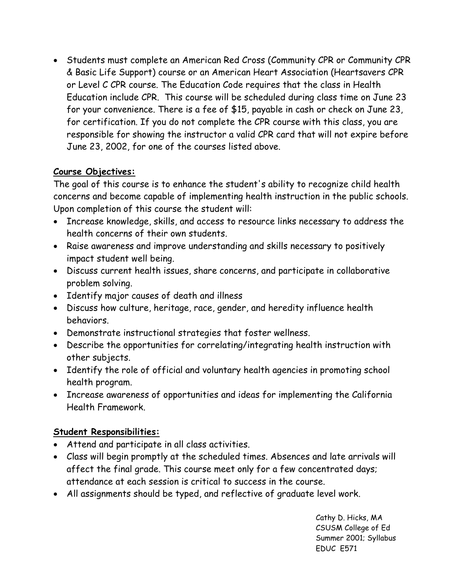• Students must complete an American Red Cross (Community CPR or Community CPR & Basic Life Support) course or an American Heart Association (Heartsavers CPR or Level C CPR course. The Education Code requires that the class in Health Education include CPR. This course will be scheduled during class time on June 23 for your convenience. There is a fee of \$15, payable in cash or check on June 23, for certification. If you do not complete the CPR course with this class, you are responsible for showing the instructor a valid CPR card that will not expire before June 23, 2002, for one of the courses listed above.

# **Course Objectives:**

The goal of this course is to enhance the student's ability to recognize child health concerns and become capable of implementing health instruction in the public schools. Upon completion of this course the student will:

- Increase knowledge, skills, and access to resource links necessary to address the health concerns of their own students.
- Raise awareness and improve understanding and skills necessary to positively impact student well being.
- Discuss current health issues, share concerns, and participate in collaborative problem solving.
- Identify major causes of death and illness
- Discuss how culture, heritage, race, gender, and heredity influence health behaviors.
- Demonstrate instructional strategies that foster wellness.
- Describe the opportunities for correlating/integrating health instruction with other subjects.
- Identify the role of official and voluntary health agencies in promoting school health program.
- Increase awareness of opportunities and ideas for implementing the California Health Framework.

### **Student Responsibilities:**

- Attend and participate in all class activities.
- Class will begin promptly at the scheduled times. Absences and late arrivals will affect the final grade. This course meet only for a few concentrated days; attendance at each session is critical to success in the course.
- All assignments should be typed, and reflective of graduate level work.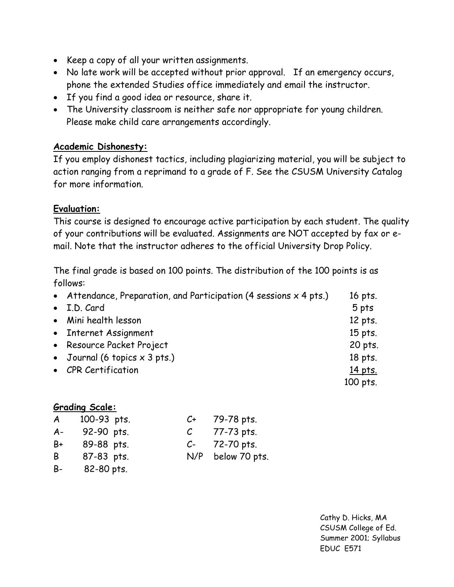- Keep a copy of all your written assignments.
- No late work will be accepted without prior approval. If an emergency occurs, phone the extended Studies office immediately and email the instructor.
- If you find a good idea or resource, share it.
- The University classroom is neither safe nor appropriate for young children. Please make child care arrangements accordingly.

## **Academic Dishonesty:**

If you employ dishonest tactics, including plagiarizing material, you will be subject to action ranging from a reprimand to a grade of F. See the CSUSM University Catalog for more information.

# **Evaluation:**

This course is designed to encourage active participation by each student. The quality of your contributions will be evaluated. Assignments are NOT accepted by fax or email. Note that the instructor adheres to the official University Drop Policy.

The final grade is based on 100 points. The distribution of the 100 points is as follows:

| • Attendance, Preparation, and Participation (4 sessions $x$ 4 pts.) | 16 pts.  |
|----------------------------------------------------------------------|----------|
| • I.D. Card                                                          | 5 pts    |
| • Mini health lesson                                                 | 12 pts.  |
| • Internet Assignment                                                | 15 pts.  |
| • Resource Packet Project                                            | 20 pts.  |
| • Journal (6 topics $\times$ 3 pts.)                                 | 18 pts.  |
| • CPR Certification                                                  | 14 pts.  |
|                                                                      | 100 pts. |

### **Grading Scale:**

| A     | 100-93 pts. | C+            | 79-78 pts.        |
|-------|-------------|---------------|-------------------|
| $A -$ | 92-90 pts.  | $\mathcal{C}$ | 77-73 pts.        |
| B+    | 89-88 pts.  |               | $C-72-70$ pts.    |
| B     | 87-83 pts.  |               | N/P below 70 pts. |
|       |             |               |                   |

B- 82-80 pts.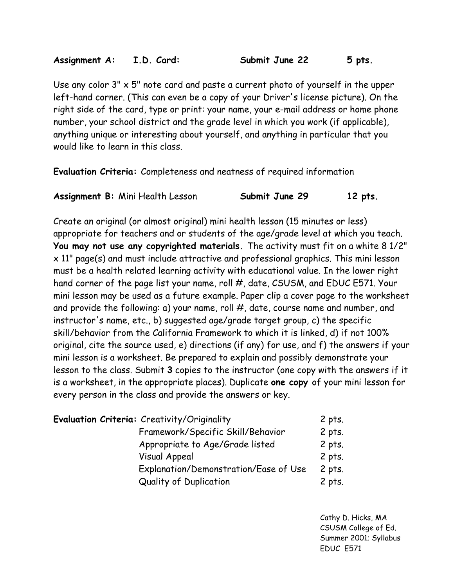Use any color  $3'' \times 5''$  note card and paste a current photo of yourself in the upper left-hand corner. (This can even be a copy of your Driver's license picture). On the right side of the card, type or print: your name, your e-mail address or home phone number, your school district and the grade level in which you work (if applicable), anything unique or interesting about yourself, and anything in particular that you would like to learn in this class.

**Evaluation Criteria:** Completeness and neatness of required information

| Assignment B: Mini Health Lesson | Submit June 29 | $12$ pts. |
|----------------------------------|----------------|-----------|
|                                  |                |           |

Create an original (or almost original) mini health lesson (15 minutes or less) appropriate for teachers and or students of the age/grade level at which you teach. **You may not use any copyrighted materials.** The activity must fit on a white 8 1/2" x 11" page(s) and must include attractive and professional graphics. This mini lesson must be a health related learning activity with educational value. In the lower right hand corner of the page list your name, roll #, date, CSUSM, and EDUC E571. Your mini lesson may be used as a future example. Paper clip a cover page to the worksheet and provide the following: a) your name, roll #, date, course name and number, and instructor's name, etc., b) suggested age/grade target group, c) the specific skill/behavior from the California Framework to which it is linked, d) if not 100% original, cite the source used, e) directions (if any) for use, and f) the answers if your mini lesson is a worksheet. Be prepared to explain and possibly demonstrate your lesson to the class. Submit **3** copies to the instructor (one copy with the answers if it is a worksheet, in the appropriate places). Duplicate **one copy** of your mini lesson for every person in the class and provide the answers or key.

| <b>Evaluation Criteria:</b> Creativity/Originality | $2$ pts. |
|----------------------------------------------------|----------|
| Framework/Specific Skill/Behavior                  | $2$ pts. |
| Appropriate to Age/Grade listed                    | $2$ pts. |
| Visual Appeal                                      | 2 pts.   |
| Explanation/Demonstration/Ease of Use              | 2 pts.   |
| <b>Quality of Duplication</b>                      | 2 pts.   |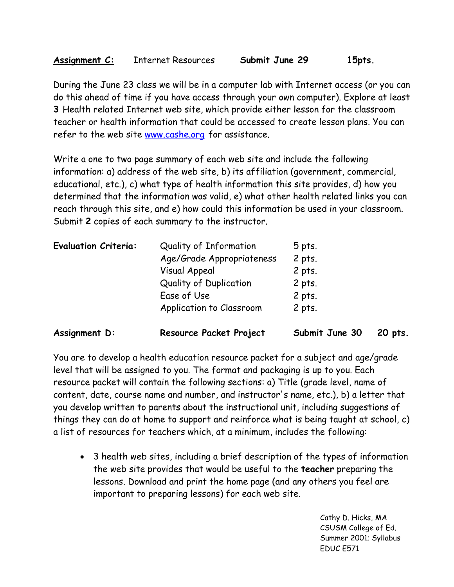During the June 23 class we will be in a computer lab with Internet access (or you can do this ahead of time if you have access through your own computer). Explore at least **3** Health related Internet web site, which provide either lesson for the classroom teacher or health information that could be accessed to create lesson plans. You can refer to the web site [www.cashe.org](http://www.cashe.org/) for assistance.

Write a one to two page summary of each web site and include the following information: a) address of the web site, b) its affiliation (government, commercial, educational, etc.), c) what type of health information this site provides, d) how you determined that the information was valid, e) what other health related links you can reach through this site, and e) how could this information be used in your classroom. Submit **2** copies of each summary to the instructor.

| Assignment D:               | Resource Packet Project       | Submit June 30 | 20 pts. |
|-----------------------------|-------------------------------|----------------|---------|
|                             | Application to Classroom      | 2 pts.         |         |
|                             | Ease of Use                   | 2 pts.         |         |
|                             | <b>Quality of Duplication</b> | $2$ pts.       |         |
|                             | <b>Visual Appeal</b>          | 2 pts.         |         |
|                             | Age/Grade Appropriateness     | 2 pts.         |         |
| <b>Evaluation Criteria:</b> | Quality of Information        | $5$ pts.       |         |

You are to develop a health education resource packet for a subject and age/grade level that will be assigned to you. The format and packaging is up to you. Each resource packet will contain the following sections: a) Title (grade level, name of content, date, course name and number, and instructor's name, etc.), b) a letter that you develop written to parents about the instructional unit, including suggestions of things they can do at home to support and reinforce what is being taught at school, c) a list of resources for teachers which, at a minimum, includes the following:

• 3 health web sites, including a brief description of the types of information the web site provides that would be useful to the **teacher** preparing the lessons. Download and print the home page (and any others you feel are important to preparing lessons) for each web site.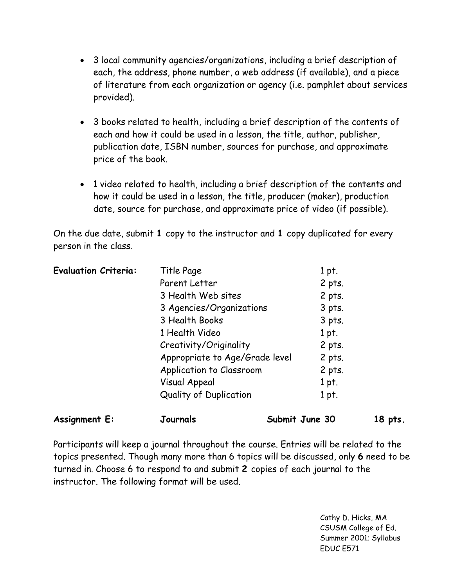- 3 local community agencies/organizations, including a brief description of each, the address, phone number, a web address (if available), and a piece of literature from each organization or agency (i.e. pamphlet about services provided).
- 3 books related to health, including a brief description of the contents of each and how it could be used in a lesson, the title, author, publisher, publication date, ISBN number, sources for purchase, and approximate price of the book.
- 1 video related to health, including a brief description of the contents and how it could be used in a lesson, the title, producer (maker), production date, source for purchase, and approximate price of video (if possible).

On the due date, submit **1** copy to the instructor and **1** copy duplicated for every person in the class.

| <b>Assignment E:</b>        | Journals                       | Submit June 30 | $18$ pts. |
|-----------------------------|--------------------------------|----------------|-----------|
|                             | <b>Quality of Duplication</b>  | 1 pt.          |           |
|                             | Visual Appeal                  | 1 pt.          |           |
|                             | Application to Classroom       | $2$ pts.       |           |
|                             | Appropriate to Age/Grade level | 2 pts.         |           |
|                             | Creativity/Originality         | 2 pts.         |           |
|                             | 1 Health Video                 | 1 pt.          |           |
|                             | 3 Health Books                 | 3 pts.         |           |
|                             | 3 Agencies/Organizations       | $3$ pts.       |           |
|                             | 3 Health Web sites             | 2 pts.         |           |
|                             | Parent Letter                  | 2 pts.         |           |
| <b>Evaluation Criteria:</b> | Title Page                     | 1 pt.          |           |

Participants will keep a journal throughout the course. Entries will be related to the topics presented. Though many more than 6 topics will be discussed, only **6** need to be turned in. Choose 6 to respond to and submit **2** copies of each journal to the instructor. The following format will be used.